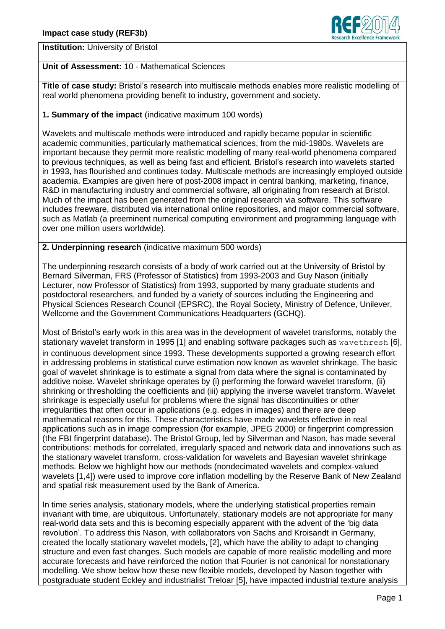

**Institution:** University of Bristol

## **Unit of Assessment:** 10 - Mathematical Sciences

**Title of case study:** Bristol's research into multiscale methods enables more realistic modelling of real world phenomena providing benefit to industry, government and society.

# **1. Summary of the impact** (indicative maximum 100 words)

Wavelets and multiscale methods were introduced and rapidly became popular in scientific academic communities, particularly mathematical sciences, from the mid-1980s. Wavelets are important because they permit more realistic modelling of many real-world phenomena compared to previous techniques, as well as being fast and efficient. Bristol's research into wavelets started in 1993, has flourished and continues today. Multiscale methods are increasingly employed outside academia. Examples are given here of post-2008 impact in central banking, marketing, finance, R&D in manufacturing industry and commercial software, all originating from research at Bristol. Much of the impact has been generated from the original research via software. This software includes freeware, distributed via international online repositories, and major commercial software, such as Matlab (a preeminent numerical computing environment and programming language with over one million users worldwide).

### **2. Underpinning research** (indicative maximum 500 words)

The underpinning research consists of a body of work carried out at the University of Bristol by Bernard Silverman, FRS (Professor of Statistics) from 1993-2003 and Guy Nason (initially Lecturer, now Professor of Statistics) from 1993, supported by many graduate students and postdoctoral researchers, and funded by a variety of sources including the Engineering and Physical Sciences Research Council (EPSRC), the Royal Society, Ministry of Defence, Unilever, Wellcome and the Government Communications Headquarters (GCHQ).

Most of Bristol's early work in this area was in the development of wavelet transforms, notably the stationary wavelet transform in 1995 [1] and enabling software packages such as wavethresh [6], in continuous development since 1993. These developments supported a growing research effort in addressing problems in statistical curve estimation now known as wavelet shrinkage. The basic goal of wavelet shrinkage is to estimate a signal from data where the signal is contaminated by additive noise. Wavelet shrinkage operates by (i) performing the forward wavelet transform, (ii) shrinking or thresholding the coefficients and (iii) applying the inverse wavelet transform. Wavelet shrinkage is especially useful for problems where the signal has discontinuities or other irregularities that often occur in applications (e.g. edges in images) and there are deep mathematical reasons for this. These characteristics have made wavelets effective in real applications such as in image compression (for example, JPEG 2000) or fingerprint compression (the FBI fingerprint database). The Bristol Group, led by Silverman and Nason, has made several contributions: methods for correlated, irregularly spaced and network data and innovations such as the stationary wavelet transform, cross-validation for wavelets and Bayesian wavelet shrinkage methods. Below we highlight how our methods (nondecimated wavelets and complex-valued wavelets [1,4]) were used to improve core inflation modelling by the Reserve Bank of New Zealand and spatial risk measurement used by the Bank of America.

In time series analysis, stationary models, where the underlying statistical properties remain invariant with time, are ubiquitous. Unfortunately, stationary models are not appropriate for many real-world data sets and this is becoming especially apparent with the advent of the 'big data revolution'. To address this Nason, with collaborators von Sachs and Kroisandt in Germany, created the locally stationary wavelet models, [2], which have the ability to adapt to changing structure and even fast changes. Such models are capable of more realistic modelling and more accurate forecasts and have reinforced the notion that Fourier is not canonical for nonstationary modelling. We show below how these new flexible models, developed by Nason together with postgraduate student Eckley and industrialist Treloar [5], have impacted industrial texture analysis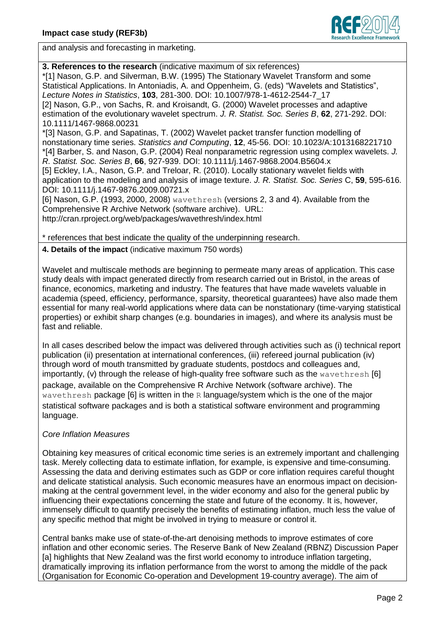

and analysis and forecasting in marketing.

**3. References to the research** (indicative maximum of six references) \*[1] Nason, G.P. and Silverman, B.W. (1995) The Stationary Wavelet Transform and some Statistical Applications. In Antoniadis, A. and Oppenheim, G. (eds) "Wavelets and Statistics", *Lecture Notes in Statistics*, **103**, 281-300. DOI: 10.1007/978-1-4612-2544-7\_17 [2] Nason, G.P., von Sachs, R. and Kroisandt, G. (2000) Wavelet processes and adaptive estimation of the evolutionary wavelet spectrum. *J. R. Statist. Soc. Series B*, **62**, 271-292. DOI: 10.1111/1467-9868.00231

\*[3] Nason, G.P. and Sapatinas, T. (2002) Wavelet packet transfer function modelling of nonstationary time series. *Statistics and Computing*, **12**, 45-56. DOI: 10.1023/A:1013168221710 \*[4] Barber, S. and Nason, G.P. (2004) Real nonparametric regression using complex wavelets. *J. R. Statist. Soc. Series B*, **66**, 927-939. DOI: 10.1111/j.1467-9868.2004.B5604.x [5] Eckley, I.A., Nason, G.P. and Treloar, R. (2010). Locally stationary wavelet fields with application to the modeling and analysis of image texture. *J. R. Statist. Soc. Series* C, **59**, 595-616. DOI: 10.1111/j.1467-9876.2009.00721.x

[6] Nason, G.P. (1993, 2000, 2008) wavethresh (versions 2, 3 and 4). Available from the Comprehensive R Archive Network (software archive). URL: http://cran.rproject.org/web/packages/wavethresh/index.html

\* references that best indicate the quality of the underpinning research.

**4. Details of the impact** (indicative maximum 750 words)

Wavelet and multiscale methods are beginning to permeate many areas of application. This case study deals with impact generated directly from research carried out in Bristol, in the areas of finance, economics, marketing and industry. The features that have made wavelets valuable in academia (speed, efficiency, performance, sparsity, theoretical guarantees) have also made them essential for many real-world applications where data can be nonstationary (time-varying statistical properties) or exhibit sharp changes (e.g. boundaries in images), and where its analysis must be fast and reliable.

In all cases described below the impact was delivered through activities such as (i) technical report publication (ii) presentation at international conferences, (iii) refereed journal publication (iv) through word of mouth transmitted by graduate students, postdocs and colleagues and, importantly, (v) through the release of high-quality free software such as the wavethresh [6] package, available on the Comprehensive R Archive Network (software archive). The wavethresh package [6] is written in the R language/system which is the one of the major statistical software packages and is both a statistical software environment and programming language.

### *Core Inflation Measures*

Obtaining key measures of critical economic time series is an extremely important and challenging task. Merely collecting data to estimate inflation, for example, is expensive and time-consuming. Assessing the data and deriving estimates such as GDP or core inflation requires careful thought and delicate statistical analysis. Such economic measures have an enormous impact on decisionmaking at the central government level, in the wider economy and also for the general public by influencing their expectations concerning the state and future of the economy. It is, however, immensely difficult to quantify precisely the benefits of estimating inflation, much less the value of any specific method that might be involved in trying to measure or control it.

Central banks make use of state-of-the-art denoising methods to improve estimates of core inflation and other economic series. The Reserve Bank of New Zealand (RBNZ) Discussion Paper [a] highlights that New Zealand was the first world economy to introduce inflation targeting, dramatically improving its inflation performance from the worst to among the middle of the pack (Organisation for Economic Co-operation and Development 19-country average). The aim of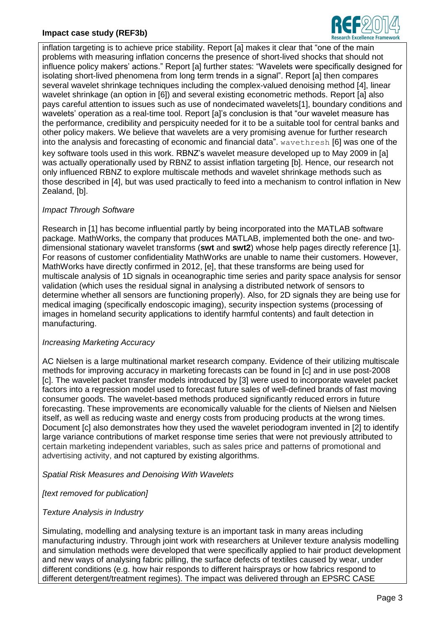## **Impact case study (REF3b)**



inflation targeting is to achieve price stability. Report [a] makes it clear that "one of the main problems with measuring inflation concerns the presence of short-lived shocks that should not influence policy makers' actions." Report [a] further states: "Wavelets were specifically designed for isolating short-lived phenomena from long term trends in a signal". Report [a] then compares several wavelet shrinkage techniques including the complex-valued denoising method [4], linear wavelet shrinkage (an option in [6]) and several existing econometric methods. Report [a] also pays careful attention to issues such as use of nondecimated wavelets[1], boundary conditions and wavelets' operation as a real-time tool. Report [a]'s conclusion is that "our wavelet measure has the performance, credibility and perspicuity needed for it to be a suitable tool for central banks and other policy makers. We believe that wavelets are a very promising avenue for further research into the analysis and forecasting of economic and financial data". wavethresh [6] was one of the key software tools used in this work. RBNZ's wavelet measure developed up to May 2009 in [a] was actually operationally used by RBNZ to assist inflation targeting [b]. Hence, our research not only influenced RBNZ to explore multiscale methods and wavelet shrinkage methods such as those described in [4], but was used practically to feed into a mechanism to control inflation in New Zealand, [b].

### *Impact Through Software*

Research in [1] has become influential partly by being incorporated into the MATLAB software package. MathWorks, the company that produces MATLAB, implemented both the one- and twodimensional stationary wavelet transforms (**swt** and **swt2**) whose help pages directly reference [1]. For reasons of customer confidentiality MathWorks are unable to name their customers. However, MathWorks have directly confirmed in 2012, [e], that these transforms are being used for multiscale analysis of 1D signals in oceanographic time series and parity space analysis for sensor validation (which uses the residual signal in analysing a distributed network of sensors to determine whether all sensors are functioning properly). Also, for 2D signals they are being use for medical imaging (specifically endoscopic imaging), security inspection systems (processing of images in homeland security applications to identify harmful contents) and fault detection in manufacturing.

### *Increasing Marketing Accuracy*

AC Nielsen is a large multinational market research company. Evidence of their utilizing multiscale methods for improving accuracy in marketing forecasts can be found in [c] and in use post-2008 [c]. The wavelet packet transfer models introduced by [3] were used to incorporate wavelet packet factors into a regression model used to forecast future sales of well-defined brands of fast moving consumer goods. The wavelet-based methods produced significantly reduced errors in future forecasting. These improvements are economically valuable for the clients of Nielsen and Nielsen itself, as well as reducing waste and energy costs from producing products at the wrong times. Document [c] also demonstrates how they used the wavelet periodogram invented in [2] to identify large variance contributions of market response time series that were not previously attributed to certain marketing independent variables, such as sales price and patterns of promotional and advertising activity, and not captured by existing algorithms.

*Spatial Risk Measures and Denoising With Wavelets*

*[text removed for publication]* 

### *Texture Analysis in Industry*

Simulating, modelling and analysing texture is an important task in many areas including manufacturing industry. Through joint work with researchers at Unilever texture analysis modelling and simulation methods were developed that were specifically applied to hair product development and new ways of analysing fabric pilling, the surface defects of textiles caused by wear, under different conditions (e.g. how hair responds to different hairsprays or how fabrics respond to different detergent/treatment regimes). The impact was delivered through an EPSRC CASE